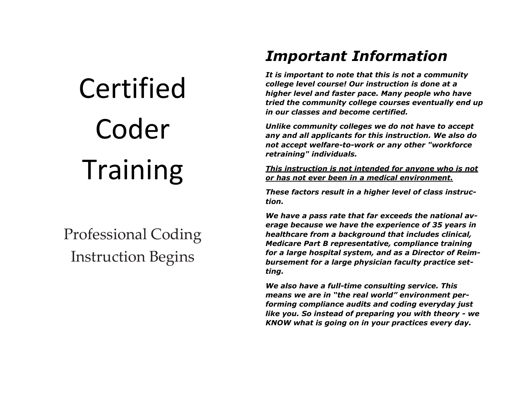# Certified Coder Training

# Professional Coding Instruction Begins

# *Important Information*

*It is important to note that this is not a community college level course! Our instruction is done at a higher level and faster pace. Many people who have tried the community college courses eventually end up in our classes and become certified.* 

*Unlike community colleges we do not have to accept any and all applicants for this instruction. We also do not accept welfare-to-work or any other "workforce retraining" individuals.* 

*This instruction is not intended for anyone who is not or has not ever been in a medical environment.* 

*These factors result in a higher level of class instruction.* 

*We have a pass rate that far exceeds the national average because we have the experience of 35 years in healthcare from a background that includes clinical, Medicare Part B representative, compliance training for a large hospital system, and as a Director of Reimbursement for a large physician faculty practice setting.* 

*We also have a full-time consulting service. This means we are in "the real world" environment performing compliance audits and coding everyday just like you. So instead of preparing you with theory - we KNOW what is going on in your practices every day.*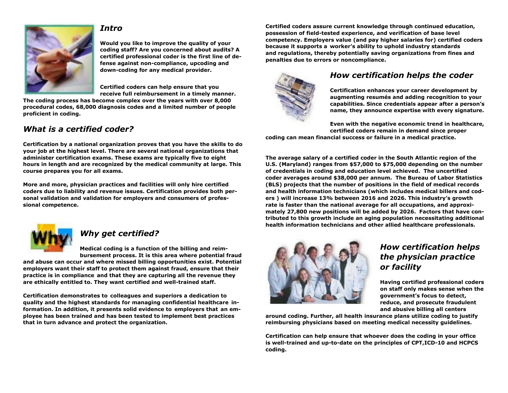### *Intro*



**Would you like to improve the quality of your coding staff? Are you concerned about audits? A certified professional coder is the first line of defense against non-compliance, upcoding and down-coding for any medical provider.**

**Certified coders can help ensure that you receive full reimbursement in a timely manner.**

**The coding process has become complex over the years with over 8,000 procedural codes, 68,000 diagnosis codes and a limited number of people proficient in coding.**

## *What is a certified coder?*

**Certification by a national organization proves that you have the skills to do your job at the highest level. There are several national organizations that administer certification exams. These exams are typically five to eight hours in length and are recognized by the medical community at large. This course prepares you for all exams.**

**More and more, physician practices and facilities will only hire certified coders due to liability and revenue issues. Certification provides both personal validation and validation for employers and consumers of professional competence.**



# *Why get certified?*

**Medical coding is a function of the billing and reimbursement process. It is this area where potential fraud** 

**and abuse can occur and where missed billing opportunities exist. Potential employers want their staff to protect them against fraud, ensure that their practice is in compliance and that they are capturing all the revenue they are ethically entitled to. They want certified and well-trained staff.** 

**Certification demonstrates to colleagues and superiors a dedication to quality and the highest standards for managing confidential healthcare information. In addition, it presents solid evidence to employers that an employee has been trained and has been tested to implement best practices that in turn advance and protect the organization.**

**Certified coders assure current knowledge through continued education, possession of field-tested experience, and verification of base level competency. Employers value (and pay higher salaries for) certified coders because it supports a worker's ability to uphold industry standards and regulations, thereby potentially saving organizations from fines and penalties due to errors or noncompliance.**



# *How certification helps the coder*

**Certification enhances your career development by augmenting resumés and adding recognition to your capabilities. Since credentials appear after a person's name, they announce expertise with every signature.**

**Even with the negative economic trend in healthcare, certified coders remain in demand since proper coding can mean financial success or failure in a medical practice.** 

**The average salary of a certified coder in the South Atlantic region of the U.S. (Maryland) ranges from \$57,000 to \$75,000 depending on the number of credentials in coding and education level achieved. The uncertified coder averages around \$38,000 per annum. The Bureau of Labor Statistics (BLS) projects that the number of positions in the field of medical records and health information technicians (which includes medical billers and coders ) will increase 13% between 2016 and 2026. This industry's growth rate is faster than the national average for all occupations, and approximately 27,800 new positions will be added by 2026. Factors that have contributed to this growth include an aging population necessitating additional health information technicians and other allied healthcare professionals.**



# *How certification helps the physician practice or facility*

**Having certified professional coders on staff only makes sense when the government's focus to detect, reduce, and prosecute fraudulent and abusive billing all centers**

**around coding. Further, all health insurance plans utilize coding to justify reimbursing physicians based on meeting medical necessity guidelines.**

**Certification can help ensure that whoever does the coding in your office is well-trained and up-to-date on the principles of CPT,ICD-10 and HCPCS coding.**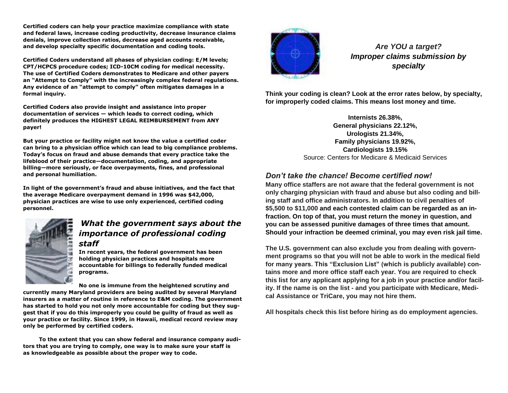**Certified coders can help your practice maximize compliance with state and federal laws, increase coding productivity, decrease insurance claims denials, improve collection ratios, decrease aged accounts receivable, and develop specialty specific documentation and coding tools.**

**Certified Coders understand all phases of physician coding: E/M levels; CPT/HCPCS procedure codes; ICD-10CM coding for medical necessity. The use of Certified Coders demonstrates to Medicare and other payers an "Attempt to Comply" with the increasingly complex federal regulations. Any evidence of an "attempt to comply" often mitigates damages in a formal inquiry.**

**Certified Coders also provide insight and assistance into proper documentation of services — which leads to correct coding, which definitely produces the HIGHEST LEGAL REIMBURSEMENT from ANY payer!**

**But your practice or facility might not know the value a certified coder can bring to a physician office which can lead to big compliance problems. Today's focus on fraud and abuse demands that every practice take the lifeblood of their practice—documentation, coding, and appropriate billing—more seriously, or face overpayments, fines, and professional and personal humiliation.**

**In light of the government's fraud and abuse initiatives, and the fact that the average Medicare overpayment demand in 1996 was \$42,000, physician practices are wise to use only experienced, certified coding personnel.**



## *What the government says about the importance of professional coding staff*

**In recent years, the federal government has been holding physician practices and hospitals more accountable for billings to federally funded medical programs.** 

**No one is immune from the heightened scrutiny and currently many Maryland providers are being audited by several Maryland insurers as a matter of routine in reference to E&M coding. The government has started to hold you not only more accountable for coding but they suggest that if you do this improperly you could be guilty of fraud as well as your practice or facility. Since 1999, in Hawaii, medical record review may only be performed by certified coders.** 

 **To the extent that you can show federal and insurance company auditors that you are trying to comply, one way is to make sure your staff is as knowledgeable as possible about the proper way to code.** 



*Are YOU a target? Improper claims submission by specialty*

**Think your coding is clean? Look at the error rates below, by specialty, for improperly coded claims. This means lost money and time.**

> **Internists 26.38%, General physicians 22.12%, Urologists 21.34%, Family physicians 19.92%, Cardiologists 19.15%** Source: Centers for Medicare & Medicaid Services

## *Don't take the chance! Become certified now!*

**Many office staffers are not aware that the federal government is not only charging physician with fraud and abuse but also coding and billing staff and office administrators. In addition to civil penalties of \$5,500 to \$11,000 and each contested claim can be regarded as an infraction. On top of that, you must return the money in question, and you can be assessed punitive damages of three times that amount. Should your infraction be deemed criminal, you may even risk jail time.**

**The U.S. government can also exclude you from dealing with government programs so that you will not be able to work in the medical field for many years. This "Exclusion List" (which is publicly available) contains more and more office staff each year. You are required to check this list for any applicant applying for a job in your practice and/or facility. If the name is on the list - and you participate with Medicare, Medical Assistance or TriCare, you may not hire them.**

**All hospitals check this list before hiring as do employment agencies.**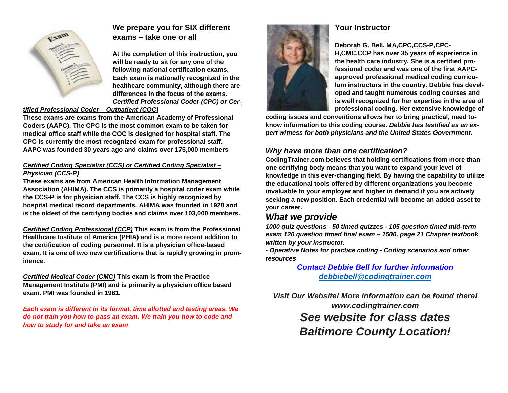

# **We prepare you for SIX different exams – take one or all**

**At the completion of this instruction, you will be ready to sit for any one of the following national certification exams. Each exam is nationally recognized in the healthcare community, although there are differences in the focus of the exams.** *Certified Professional Coder (CPC) or Cer-*

#### *tified Professional Coder – Outpatient (COC)*

**These exams are exams from the American Academy of Professional Coders (AAPC). The CPC is the most common exam to be taken for medical office staff while the COC is designed for hospital staff. The CPC is currently the most recognized exam for professional staff. AAPC was founded 30 years ago and claims over 175,000 members**

#### *Certified Coding Specialist (CCS) or Certified Coding Specialist – Physician (CCS-P)*

**These exams are from American Health Information Management Association (AHIMA). The CCS is primarily a hospital coder exam while the CCS-P is for physician staff. The CCS is highly recognized by hospital medical record departments. AHIMA was founded in 1928 and is the oldest of the certifying bodies and claims over 103,000 members.**

*Certified Coding Professional (CCP)* **This exam is from the Professional Healthcare Institute of America (PHIA) and is a more recent addition to the certification of coding personnel. It is a physician office-based exam. It is one of two new certifications that is rapidly growing in prominence.**

*Certified Medical Coder (CMC)* **This exam is from the Practice Management Institute (PMI) and is primarily a physician office based exam. PMI was founded in 1981.**

*Each exam is different in its format, time allotted and testing areas. We do not train you how to pass an exam. We train you how to code and how to study for and take an exam*



## **Your Instructor**

**Deborah G. Bell, MA,CPC,CCS-P,CPC-H,CMC,CCP has over 35 years of experience in** 

**the health care industry. She is a certified professional coder and was one of the first AAPCapproved professional medical coding curriculum instructors in the country. Debbie has developed and taught numerous coding courses and is well recognized for her expertise in the area of professional coding. Her extensive knowledge of** 

**coding issues and conventions allows her to bring practical, need toknow information to this coding course***. Debbie has testified as an expert witness for both physicians and the United States Government.*

# *Why have more than one certification?*

**CodingTrainer.com believes that holding certifications from more than one certifying body means that you want to expand your level of knowledge in this ever-changing field. By having the capability to utilize the educational tools offered by different organizations you become invaluable to your employer and higher in demand if you are actively seeking a new position. Each credential will become an added asset to your career.**

# *What we provide*

*1000 quiz questions - 50 timed quizzes - 105 question timed mid-term exam 120 question timed final exam – 1500, page 21 Chapter textbook written by your instructor.*

*- Operative Notes for practice coding - Coding scenarios and other resources*

> *Contact Debbie Bell for further information [debbiebell@codingtrainer.com](mailto:debbiebell@codingtrainer.com)*

*Visit Our Website! More information can be found there! www.codingtrainer.com See website for class dates Baltimore County Location!*